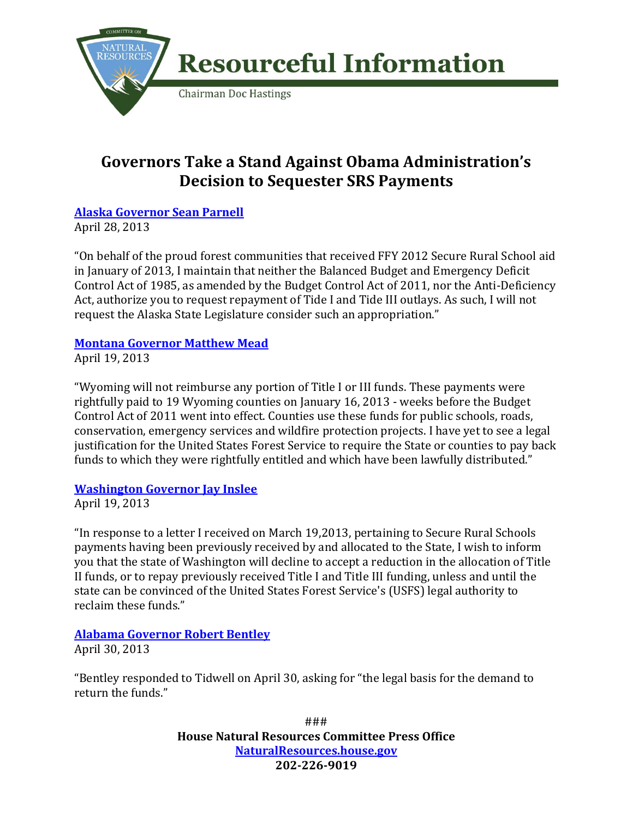

# **Governors Take a Stand Against Obama Administration's Decision to Sequester SRS Payments**

### **[Alaska Governor Sean Parnell](http://naturalresources.house.gov/UploadedFiles/ParnellLettertoTidwell.pdf)**

April 28, 2013

"On behalf of the proud forest communities that received FFY 2012 Secure Rural School aid in January of 2013, I maintain that neither the Balanced Budget and Emergency Deficit Control Act of 1985, as amended by the Budget Control Act of 2011, nor the Anti-Deficiency Act, authorize you to request repayment of Tide I and Tide III outlays. As such, I will not request the Alaska State Legislature consider such an appropriation."

### **[Montana Governor Matthew Mead](http://naturalresources.house.gov/UploadedFiles/GovMeadtoTidwell.pdf)**

April 19, 2013

"Wyoming will not reimburse any portion of Title I or III funds. These payments were rightfully paid to 19 Wyoming counties on January 16, 2013 - weeks before the Budget Control Act of 2011 went into effect. Counties use these funds for public schools, roads, conservation, emergency services and wildfire protection projects. I have yet to see a legal justification for the United States Forest Service to require the State or counties to pay back funds to which they were rightfully entitled and which have been lawfully distributed."

#### **[Washington Governor Jay Inslee](http://naturalresources.house.gov/UploadedFiles/WAGovInslee_letter_to_USFS_re_SRS_04_19_13.pdf)**

April 19, 2013

"In response to a letter I received on March 19,2013, pertaining to Secure Rural Schools payments having been previously received by and allocated to the State, I wish to inform you that the state of Washington will decline to accept a reduction in the allocation of Title II funds, or to repay previously received Title I and Title III funding, unless and until the state can be convinced of the United States Forest Service's (USFS) legal authority to reclaim these funds."

## **[Alabama Governor Robert Bentley](http://www.tuscaloosanews.com/article/20130513/NEWS/130519929?p=1&tc=pg)**

April 30, 2013

"Bentley responded to Tidwell on April 30, asking for "the legal basis for the demand to return the funds."

> ### **House Natural Resources Committee Press Office [NaturalResources.house.gov](http://naturalresources.house.gov/) 202-226-9019**